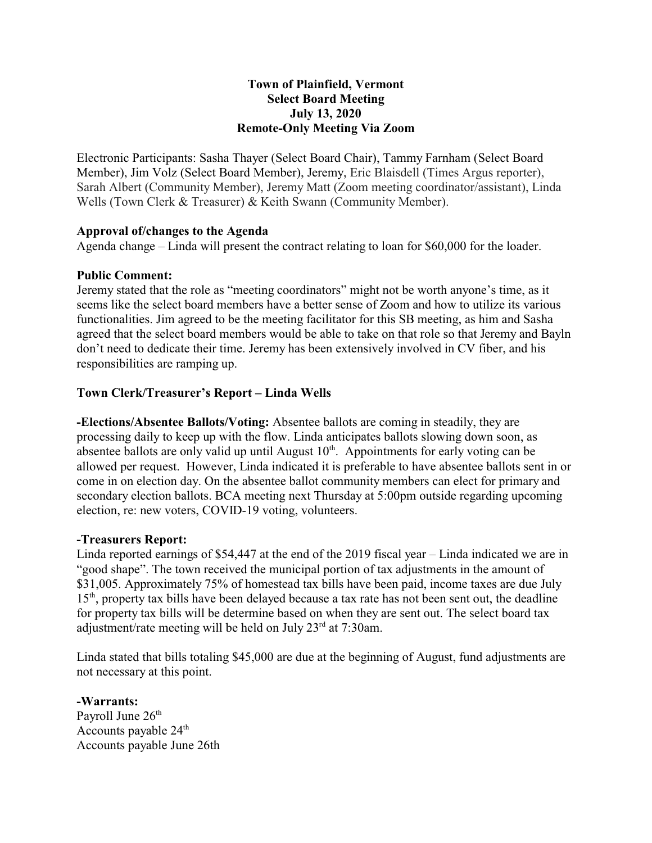## **Town of Plainfield, Vermont Select Board Meeting July 13, 2020 Remote-Only Meeting Via Zoom**

Electronic Participants: Sasha Thayer (Select Board Chair), Tammy Farnham (Select Board Member), Jim Volz (Select Board Member), Jeremy, Eric Blaisdell (Times Argus reporter), Sarah Albert (Community Member), Jeremy Matt (Zoom meeting coordinator/assistant), Linda Wells (Town Clerk & Treasurer) & Keith Swann (Community Member).

## **Approval of/changes to the Agenda**

Agenda change – Linda will present the contract relating to loan for \$60,000 for the loader.

## **Public Comment:**

Jeremy stated that the role as "meeting coordinators" might not be worth anyone's time, as it seems like the select board members have a better sense of Zoom and how to utilize its various functionalities. Jim agreed to be the meeting facilitator for this SB meeting, as him and Sasha agreed that the select board members would be able to take on that role so that Jeremy and Bayln don't need to dedicate their time. Jeremy has been extensively involved in CV fiber, and his responsibilities are ramping up.

# **Town Clerk/Treasurer's Report – Linda Wells**

**-Elections/Absentee Ballots/Voting:** Absentee ballots are coming in steadily, they are processing daily to keep up with the flow. Linda anticipates ballots slowing down soon, as absentee ballots are only valid up until August  $10<sup>th</sup>$ . Appointments for early voting can be allowed per request. However, Linda indicated it is preferable to have absentee ballots sent in or come in on election day. On the absentee ballot community members can elect for primary and secondary election ballots. BCA meeting next Thursday at 5:00pm outside regarding upcoming election, re: new voters, COVID-19 voting, volunteers.

## **-Treasurers Report:**

Linda reported earnings of \$54,447 at the end of the 2019 fiscal year – Linda indicated we are in "good shape". The town received the municipal portion of tax adjustments in the amount of \$31,005. Approximately 75% of homestead tax bills have been paid, income taxes are due July 15<sup>th</sup>, property tax bills have been delayed because a tax rate has not been sent out, the deadline for property tax bills will be determine based on when they are sent out. The select board tax adjustment/rate meeting will be held on July 23<sup>rd</sup> at 7:30am.

Linda stated that bills totaling \$45,000 are due at the beginning of August, fund adjustments are not necessary at this point.

**-Warrants:**  Payroll June  $26<sup>th</sup>$ Accounts payable  $24<sup>th</sup>$ Accounts payable June 26th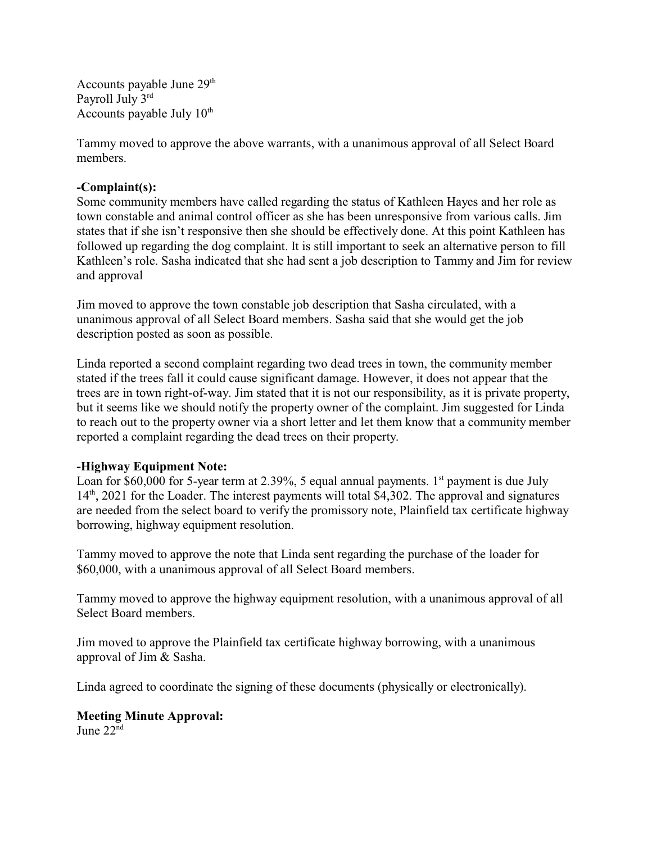Accounts payable June 29<sup>th</sup> Payroll July 3rd Accounts payable July  $10<sup>th</sup>$ 

Tammy moved to approve the above warrants, with a unanimous approval of all Select Board members.

# **-Complaint(s):**

Some community members have called regarding the status of Kathleen Hayes and her role as town constable and animal control officer as she has been unresponsive from various calls. Jim states that if she isn't responsive then she should be effectively done. At this point Kathleen has followed up regarding the dog complaint. It is still important to seek an alternative person to fill Kathleen's role. Sasha indicated that she had sent a job description to Tammy and Jim for review and approval

Jim moved to approve the town constable job description that Sasha circulated, with a unanimous approval of all Select Board members. Sasha said that she would get the job description posted as soon as possible.

Linda reported a second complaint regarding two dead trees in town, the community member stated if the trees fall it could cause significant damage. However, it does not appear that the trees are in town right-of-way. Jim stated that it is not our responsibility, as it is private property, but it seems like we should notify the property owner of the complaint. Jim suggested for Linda to reach out to the property owner via a short letter and let them know that a community member reported a complaint regarding the dead trees on their property.

## **-Highway Equipment Note:**

Loan for \$60,000 for 5-year term at 2.39%, 5 equal annual payments.  $1<sup>st</sup>$  payment is due July 14<sup>th</sup>, 2021 for the Loader. The interest payments will total \$4,302. The approval and signatures are needed from the select board to verify the promissory note, Plainfield tax certificate highway borrowing, highway equipment resolution.

Tammy moved to approve the note that Linda sent regarding the purchase of the loader for \$60,000, with a unanimous approval of all Select Board members.

Tammy moved to approve the highway equipment resolution, with a unanimous approval of all Select Board members.

Jim moved to approve the Plainfield tax certificate highway borrowing, with a unanimous approval of Jim & Sasha.

Linda agreed to coordinate the signing of these documents (physically or electronically).

# **Meeting Minute Approval:**

June 22nd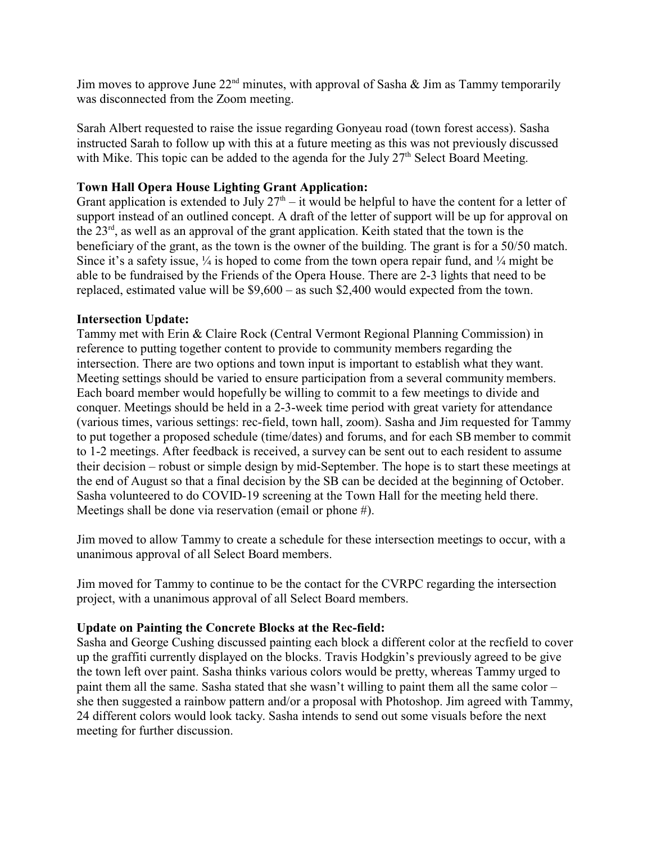Jim moves to approve June  $22<sup>nd</sup>$  minutes, with approval of Sasha & Jim as Tammy temporarily was disconnected from the Zoom meeting.

Sarah Albert requested to raise the issue regarding Gonyeau road (town forest access). Sasha instructed Sarah to follow up with this at a future meeting as this was not previously discussed with Mike. This topic can be added to the agenda for the July  $27<sup>th</sup>$  Select Board Meeting.

# **Town Hall Opera House Lighting Grant Application:**

Grant application is extended to July  $27<sup>th</sup> - it$  would be helpful to have the content for a letter of support instead of an outlined concept. A draft of the letter of support will be up for approval on the 23<sup>rd</sup>, as well as an approval of the grant application. Keith stated that the town is the beneficiary of the grant, as the town is the owner of the building. The grant is for a 50/50 match. Since it's a safety issue,  $\frac{1}{4}$  is hoped to come from the town opera repair fund, and  $\frac{1}{4}$  might be able to be fundraised by the Friends of the Opera House. There are 2-3 lights that need to be replaced, estimated value will be \$9,600 – as such \$2,400 would expected from the town.

## **Intersection Update:**

Tammy met with Erin & Claire Rock (Central Vermont Regional Planning Commission) in reference to putting together content to provide to community members regarding the intersection. There are two options and town input is important to establish what they want. Meeting settings should be varied to ensure participation from a several community members. Each board member would hopefully be willing to commit to a few meetings to divide and conquer. Meetings should be held in a 2-3-week time period with great variety for attendance (various times, various settings: rec-field, town hall, zoom). Sasha and Jim requested for Tammy to put together a proposed schedule (time/dates) and forums, and for each SB member to commit to 1-2 meetings. After feedback is received, a survey can be sent out to each resident to assume their decision – robust or simple design by mid-September. The hope is to start these meetings at the end of August so that a final decision by the SB can be decided at the beginning of October. Sasha volunteered to do COVID-19 screening at the Town Hall for the meeting held there. Meetings shall be done via reservation (email or phone #).

Jim moved to allow Tammy to create a schedule for these intersection meetings to occur, with a unanimous approval of all Select Board members.

Jim moved for Tammy to continue to be the contact for the CVRPC regarding the intersection project, with a unanimous approval of all Select Board members.

## **Update on Painting the Concrete Blocks at the Rec-field:**

Sasha and George Cushing discussed painting each block a different color at the recfield to cover up the graffiti currently displayed on the blocks. Travis Hodgkin's previously agreed to be give the town left over paint. Sasha thinks various colors would be pretty, whereas Tammy urged to paint them all the same. Sasha stated that she wasn't willing to paint them all the same color – she then suggested a rainbow pattern and/or a proposal with Photoshop. Jim agreed with Tammy, 24 different colors would look tacky. Sasha intends to send out some visuals before the next meeting for further discussion.